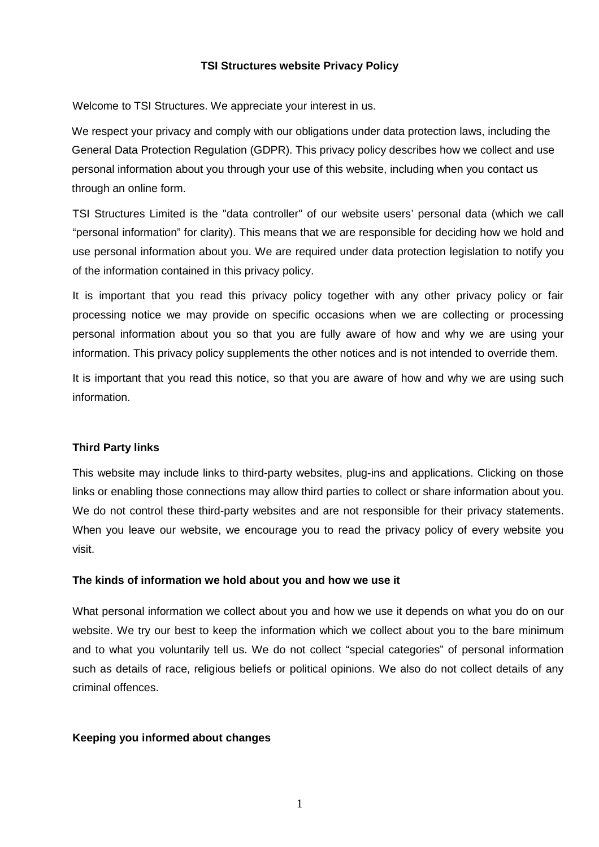## **TSI Structures website Privacy Policy**

Welcome to TSI Structures. We appreciate your interest in us.

We respect your privacy and comply with our obligations under data protection laws, including the General Data Protection Regulation (GDPR). This privacy policy describes how we collect and use personal information about you through your use of this website, including when you contact us through an online form.

TSI Structures Limited is the "data controller" of our website users' personal data (which we call "personal information" for clarity). This means that we are responsible for deciding how we hold and use personal information about you. We are required under data protection legislation to notify you of the information contained in this privacy policy.

It is important that you read this privacy policy together with any other privacy policy or fair processing notice we may provide on specific occasions when we are collecting or processing personal information about you so that you are fully aware of how and why we are using your information. This privacy policy supplements the other notices and is not intended to override them.

It is important that you read this notice, so that you are aware of how and why we are using such information.

# **Third Party links**

This website may include links to third-party websites, plug-ins and applications. Clicking on those links or enabling those connections may allow third parties to collect or share information about you. We do not control these third-party websites and are not responsible for their privacy statements. When you leave our website, we encourage you to read the privacy policy of every website you visit.

## **The kinds of information we hold about you and how we use it**

What personal information we collect about you and how we use it depends on what you do on our website. We try our best to keep the information which we collect about you to the bare minimum and to what you voluntarily tell us. We do not collect "special categories" of personal information such as details of race, religious beliefs or political opinions. We also do not collect details of any criminal offences.

## **Keeping you informed about changes**

1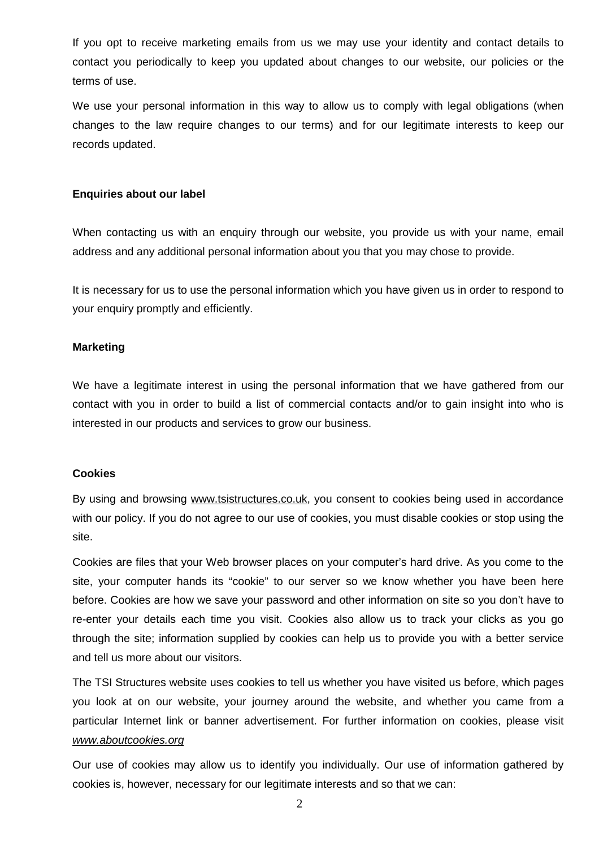If you opt to receive marketing emails from us we may use your identity and contact details to contact you periodically to keep you updated about changes to our website, our policies or the terms of use.

We use your personal information in this way to allow us to comply with legal obligations (when changes to the law require changes to our terms) and for our legitimate interests to keep our records updated.

### **Enquiries about our label**

When contacting us with an enquiry through our website, you provide us with your name, email address and any additional personal information about you that you may chose to provide.

It is necessary for us to use the personal information which you have given us in order to respond to your enquiry promptly and efficiently.

### **Marketing**

We have a legitimate interest in using the personal information that we have gathered from our contact with you in order to build a list of commercial contacts and/or to gain insight into who is interested in our products and services to grow our business.

#### **Cookies**

By using and browsing [www.tsistructures.co.uk](http://www.tsistructures.co.uk), you consent to cookies being used in accordance with our policy. If you do not agree to our use of cookies, you must disable cookies or stop using the site.

Cookies are files that your Web browser places on your computer's hard drive. As you come to the site, your computer hands its "cookie" to our server so we know whether you have been here before. Cookies are how we save your password and other information on site so you don't have to re-enter your details each time you visit. Cookies also allow us to track your clicks as you go through the site; information supplied by cookies can help us to provide you with a better service and tell us more about our visitors.

The TSI Structures website uses cookies to tell us whether you have visited us before, which pages you look at on our website, your journey around the website, and whether you came from a particular Internet link or banner advertisement. For further information on cookies, please visit *[www.aboutcookies.org](http://www.aboutcookies.org)*

Our use of cookies may allow us to identify you individually. Our use of information gathered by cookies is, however, necessary for our legitimate interests and so that we can:

2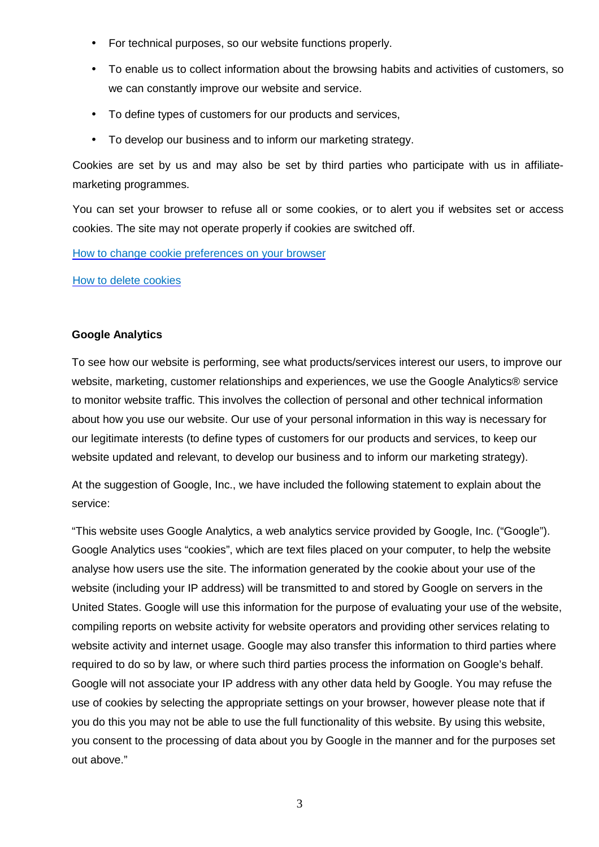- For technical purposes, so our website functions properly.
- To enable us to collect information about the browsing habits and activities of customers, so we can constantly improve our website and service.
- To define types of customers for our products and services,
- To develop our business and to inform our marketing strategy.

Cookies are set by us and may also be set by third parties who participate with us in affiliatemarketing programmes.

You can set your browser to refuse all or some cookies, or to alert you if websites set or access cookies. The site may not operate properly if cookies are switched off.

How to change cookie preferences on your browser

How to delete cookies

## **Google Analytics**

To see how our website is performing, see what products/services interest our users, to improve our website, marketing, customer relationships and experiences, we use the Google Analytics® service to monitor website traffic. This involves the collection of personal and other technical information about how you use our website. Our use of your personal information in this way is necessary for our legitimate interests (to define types of customers for our products and services, to keep our website updated and relevant, to develop our business and to inform our marketing strategy).

At the suggestion of Google, Inc., we have included the following statement to explain about the service:

"This website uses Google Analytics, a web analytics service provided by Google, Inc. ("Google"). Google Analytics uses "cookies", which are text files placed on your computer, to help the website analyse how users use the site. The information generated by the cookie about your use of the website (including your IP address) will be transmitted to and stored by Google on servers in the United States. Google will use this information for the purpose of evaluating your use of the website, compiling reports on website activity for website operators and providing other services relating to website activity and internet usage. Google may also transfer this information to third parties where required to do so by law, or where such third parties process the information on Google's behalf. Google will not associate your IP address with any other data held by Google. You may refuse the use of cookies by selecting the appropriate settings on your browser, however please note that if you do this you may not be able to use the full functionality of this website. By using this website, you consent to the processing of data about you by Google in the manner and for the purposes set out above."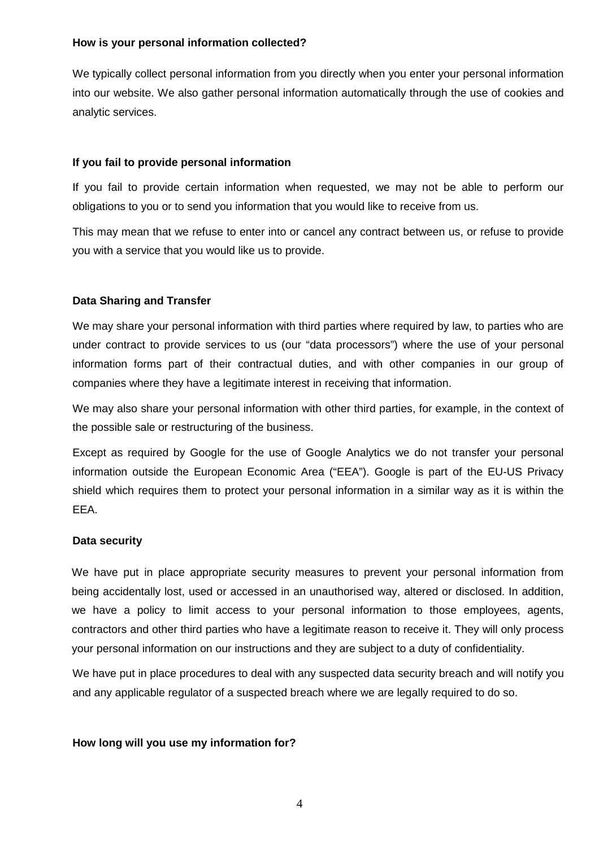## **How is your personal information collected?**

We typically collect personal information from you directly when you enter your personal information into our website. We also gather personal information automatically through the use of cookies and analytic services.

# **If you fail to provide personal information**

If you fail to provide certain information when requested, we may not be able to perform our obligations to you or to send you information that you would like to receive from us.

This may mean that we refuse to enter into or cancel any contract between us, or refuse to provide you with a service that you would like us to provide.

# **Data Sharing and Transfer**

We may share your personal information with third parties where required by law, to parties who are under contract to provide services to us (our "data processors") where the use of your personal information forms part of their contractual duties, and with other companies in our group of companies where they have a legitimate interest in receiving that information.

We may also share your personal information with other third parties, for example, in the context of the possible sale or restructuring of the business.

Except as required by Google for the use of Google Analytics we do not transfer your personal information outside the European Economic Area ("EEA"). Google is part of the EU-US Privacy shield which requires them to protect your personal information in a similar way as it is within the EEA.

# **Data security**

We have put in place appropriate security measures to prevent your personal information from being accidentally lost, used or accessed in an unauthorised way, altered or disclosed. In addition, we have a policy to limit access to your personal information to those employees, agents, contractors and other third parties who have a legitimate reason to receive it. They will only process your personal information on our instructions and they are subject to a duty of confidentiality.

We have put in place procedures to deal with any suspected data security breach and will notify you and any applicable regulator of a suspected breach where we are legally required to do so.

## **How long will you use my information for?**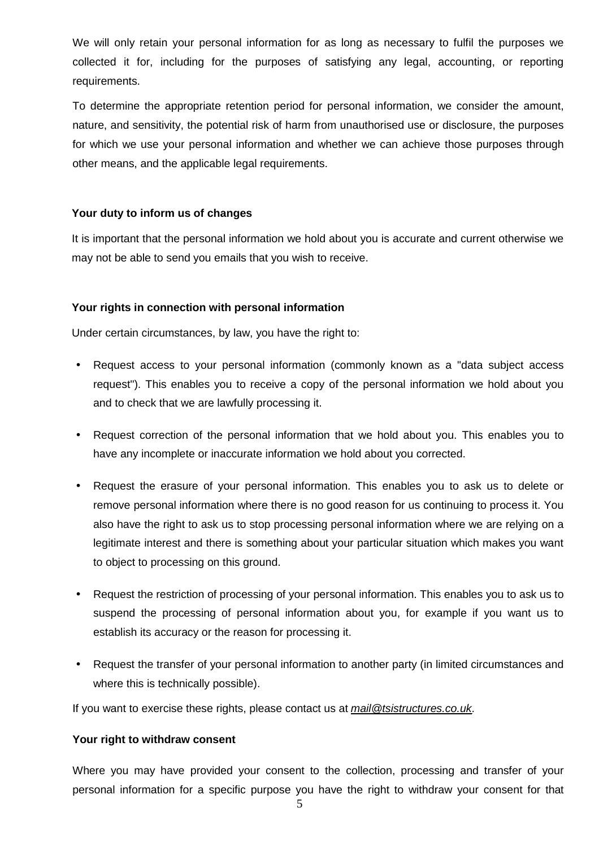We will only retain your personal information for as long as necessary to fulfil the purposes we collected it for, including for the purposes of satisfying any legal, accounting, or reporting requirements.

To determine the appropriate retention period for personal information, we consider the amount, nature, and sensitivity, the potential risk of harm from unauthorised use or disclosure, the purposes for which we use your personal information and whether we can achieve those purposes through other means, and the applicable legal requirements.

## **Your duty to inform us of changes**

It is important that the personal information we hold about you is accurate and current otherwise we may not be able to send you emails that you wish to receive.

## **Your rights in connection with personal information**

Under certain circumstances, by law, you have the right to:

- Request access to your personal information (commonly known as a "data subject access request"). This enables you to receive a copy of the personal information we hold about you and to check that we are lawfully processing it.
- Request correction of the personal information that we hold about you. This enables you to have any incomplete or inaccurate information we hold about you corrected.
- Request the erasure of your personal information. This enables you to ask us to delete or remove personal information where there is no good reason for us continuing to process it. You also have the right to ask us to stop processing personal information where we are relying on a legitimate interest and there is something about your particular situation which makes you want to object to processing on this ground.
- Request the restriction of processing of your personal information. This enables you to ask us to suspend the processing of personal information about you, for example if you want us to establish its accuracy or the reason for processing it.
- Request the transfer of your personal information to another party (in limited circumstances and where this is technically possible).

If you want to exercise these rights, please contact us at *[mail@tsistructures.co.uk](mailto:mail@tsistructures.co.uk)*.

#### **Your right to withdraw consent**

Where you may have provided your consent to the collection, processing and transfer of your personal information for a specific purpose you have the right to withdraw your consent for that